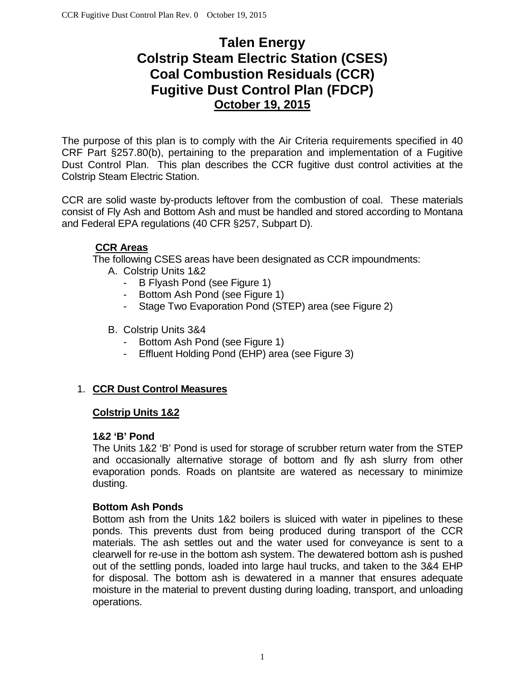# **Talen Energy Colstrip Steam Electric Station (CSES) Coal Combustion Residuals (CCR) Fugitive Dust Control Plan (FDCP) October 19, 2015**

The purpose of this plan is to comply with the Air Criteria requirements specified in 40 CRF Part §257.80(b), pertaining to the preparation and implementation of a Fugitive Dust Control Plan. This plan describes the CCR fugitive dust control activities at the Colstrip Steam Electric Station.

CCR are solid waste by-products leftover from the combustion of coal. These materials consist of Fly Ash and Bottom Ash and must be handled and stored according to Montana and Federal EPA regulations (40 CFR §257, Subpart D).

## **CCR Areas**

The following CSES areas have been designated as CCR impoundments:

- A. Colstrip Units 1&2
	- B Flyash Pond (see Figure 1)
	- Bottom Ash Pond (see Figure 1)
	- Stage Two Evaporation Pond (STEP) area (see Figure 2)
- B. Colstrip Units 3&4
	- Bottom Ash Pond (see Figure 1)
	- Effluent Holding Pond (EHP) area (see Figure 3)

## 1. **CCR Dust Control Measures**

#### **Colstrip Units 1&2**

#### **1&2 'B' Pond**

The Units 1&2 'B' Pond is used for storage of scrubber return water from the STEP and occasionally alternative storage of bottom and fly ash slurry from other evaporation ponds. Roads on plantsite are watered as necessary to minimize dusting.

#### **Bottom Ash Ponds**

Bottom ash from the Units 1&2 boilers is sluiced with water in pipelines to these ponds. This prevents dust from being produced during transport of the CCR materials. The ash settles out and the water used for conveyance is sent to a clearwell for re-use in the bottom ash system. The dewatered bottom ash is pushed out of the settling ponds, loaded into large haul trucks, and taken to the 3&4 EHP for disposal. The bottom ash is dewatered in a manner that ensures adequate moisture in the material to prevent dusting during loading, transport, and unloading operations.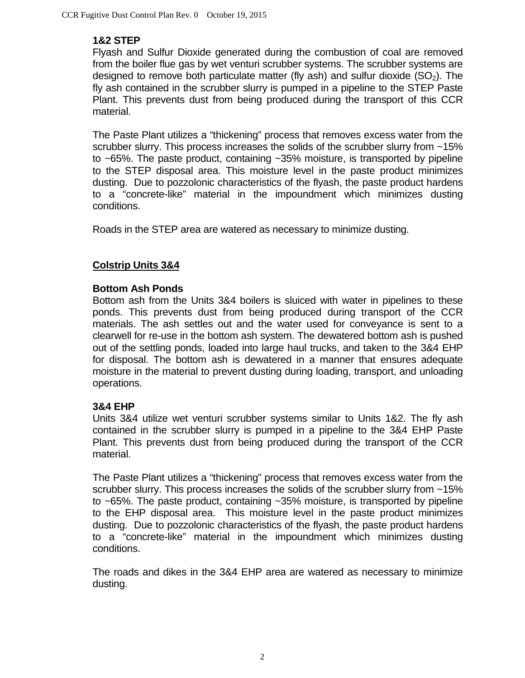## **1&2 STEP**

Flyash and Sulfur Dioxide generated during the combustion of coal are removed from the boiler flue gas by wet venturi scrubber systems. The scrubber systems are designed to remove both particulate matter (fly ash) and sulfur dioxide  $(SO<sub>2</sub>)$ . The fly ash contained in the scrubber slurry is pumped in a pipeline to the STEP Paste Plant. This prevents dust from being produced during the transport of this CCR material.

The Paste Plant utilizes a "thickening" process that removes excess water from the scrubber slurry. This process increases the solids of the scrubber slurry from ~15% to ~65%. The paste product, containing ~35% moisture, is transported by pipeline to the STEP disposal area. This moisture level in the paste product minimizes dusting. Due to pozzolonic characteristics of the flyash, the paste product hardens to a "concrete-like" material in the impoundment which minimizes dusting conditions.

Roads in the STEP area are watered as necessary to minimize dusting.

## **Colstrip Units 3&4**

## **Bottom Ash Ponds**

Bottom ash from the Units 3&4 boilers is sluiced with water in pipelines to these ponds. This prevents dust from being produced during transport of the CCR materials. The ash settles out and the water used for conveyance is sent to a clearwell for re-use in the bottom ash system. The dewatered bottom ash is pushed out of the settling ponds, loaded into large haul trucks, and taken to the 3&4 EHP for disposal. The bottom ash is dewatered in a manner that ensures adequate moisture in the material to prevent dusting during loading, transport, and unloading operations.

#### **3&4 EHP**

Units 3&4 utilize wet venturi scrubber systems similar to Units 1&2. The fly ash contained in the scrubber slurry is pumped in a pipeline to the 3&4 EHP Paste Plant. This prevents dust from being produced during the transport of the CCR material.

The Paste Plant utilizes a "thickening" process that removes excess water from the scrubber slurry. This process increases the solids of the scrubber slurry from ~15% to ~65%. The paste product, containing ~35% moisture, is transported by pipeline to the EHP disposal area. This moisture level in the paste product minimizes dusting. Due to pozzolonic characteristics of the flyash, the paste product hardens to a "concrete-like" material in the impoundment which minimizes dusting conditions.

The roads and dikes in the 3&4 EHP area are watered as necessary to minimize dusting.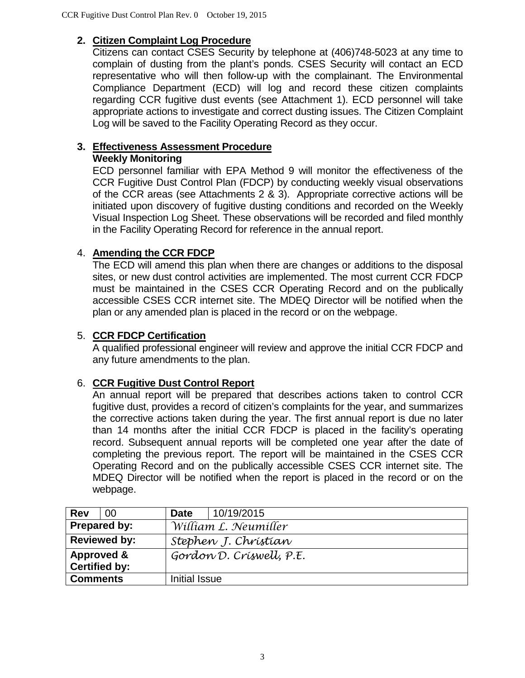## **2. Citizen Complaint Log Procedure**

Citizens can contact CSES Security by telephone at (406)748-5023 at any time to complain of dusting from the plant's ponds. CSES Security will contact an ECD representative who will then follow-up with the complainant. The Environmental Compliance Department (ECD) will log and record these citizen complaints regarding CCR fugitive dust events (see Attachment 1). ECD personnel will take appropriate actions to investigate and correct dusting issues. The Citizen Complaint Log will be saved to the Facility Operating Record as they occur.

## **3. Effectiveness Assessment Procedure**

#### **Weekly Monitoring**

ECD personnel familiar with EPA Method 9 will monitor the effectiveness of the CCR Fugitive Dust Control Plan (FDCP) by conducting weekly visual observations of the CCR areas (see Attachments 2 & 3). Appropriate corrective actions will be initiated upon discovery of fugitive dusting conditions and recorded on the Weekly Visual Inspection Log Sheet. These observations will be recorded and filed monthly in the Facility Operating Record for reference in the annual report.

## 4. **Amending the CCR FDCP**

The ECD will amend this plan when there are changes or additions to the disposal sites, or new dust control activities are implemented. The most current CCR FDCP must be maintained in the CSES CCR Operating Record and on the publically accessible CSES CCR internet site. The MDEQ Director will be notified when the plan or any amended plan is placed in the record or on the webpage.

#### 5. **CCR FDCP Certification**

A qualified professional engineer will review and approve the initial CCR FDCP and any future amendments to the plan.

## 6. **CCR Fugitive Dust Control Report**

An annual report will be prepared that describes actions taken to control CCR fugitive dust, provides a record of citizen's complaints for the year, and summarizes the corrective actions taken during the year. The first annual report is due no later than 14 months after the initial CCR FDCP is placed in the facility's operating record. Subsequent annual reports will be completed one year after the date of completing the previous report. The report will be maintained in the CSES CCR Operating Record and on the publically accessible CSES CCR internet site. The MDEQ Director will be notified when the report is placed in the record or on the webpage.

| Rev                   | 00                   | 10/19/2015<br><b>Date</b> |  |  |  |  |  |  |
|-----------------------|----------------------|---------------------------|--|--|--|--|--|--|
| Prepared by:          |                      | William L. Neumiller      |  |  |  |  |  |  |
| <b>Reviewed by:</b>   |                      | Stephen J. Christian      |  |  |  |  |  |  |
| <b>Approved &amp;</b> |                      | Gordon D. Criswell, P.E.  |  |  |  |  |  |  |
|                       | <b>Certified by:</b> |                           |  |  |  |  |  |  |
| <b>Comments</b>       |                      | Initial Issue             |  |  |  |  |  |  |
|                       |                      |                           |  |  |  |  |  |  |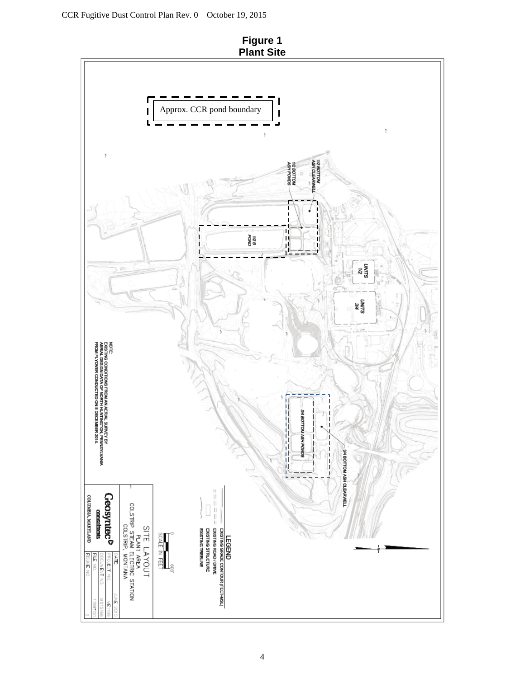

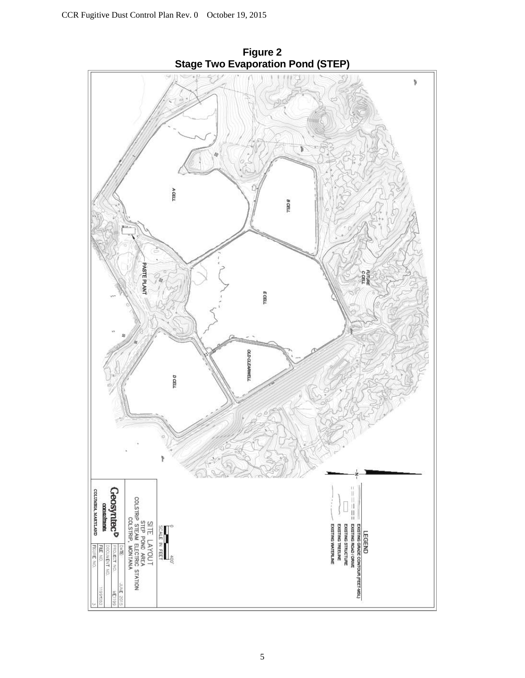

**Figure 2 Stage Two Evaporation Pond (STEP)**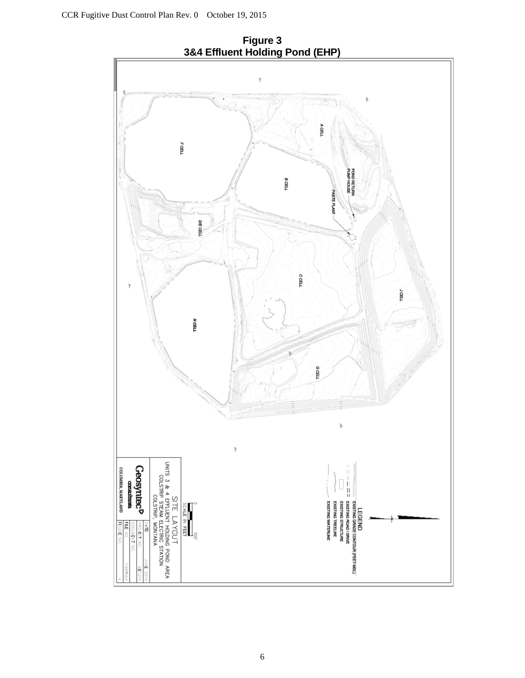**Figure 3 3&4 Effluent Holding Pond (EHP)**

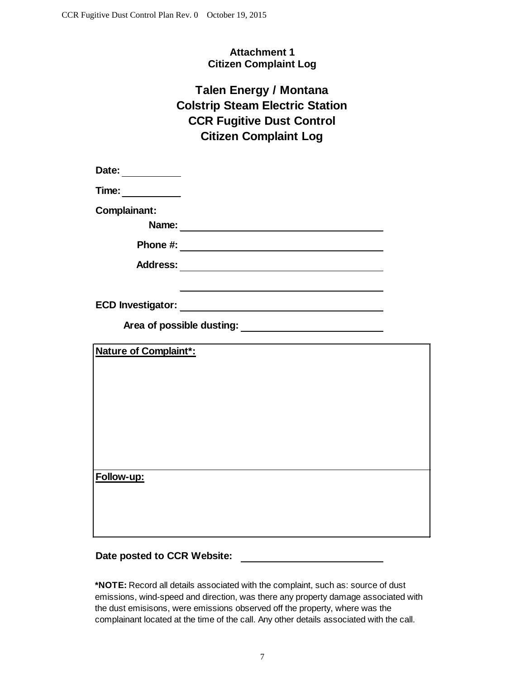### **Attachment 1 Citizen Complaint Log**

## **Talen Energy / Montana CCR Fugitive Dust Control Citizen Complaint Log Colstrip Steam Electric Station**

**Date:**

**Time:**

**Complainant:**

**Name:**

**Phone #:**

**Address:**

**ECD Investigator:**

**Area of possible dusting:**

**Nature of Complaint\*:**

**Follow-up:**

#### **Date posted to CCR Website:**

**\*NOTE:** Record all details associated with the complaint, such as: source of dust emissions, wind-speed and direction, was there any property damage associated with the dust emisisons, were emissions observed off the property, where was the complainant located at the time of the call. Any other details associated with the call.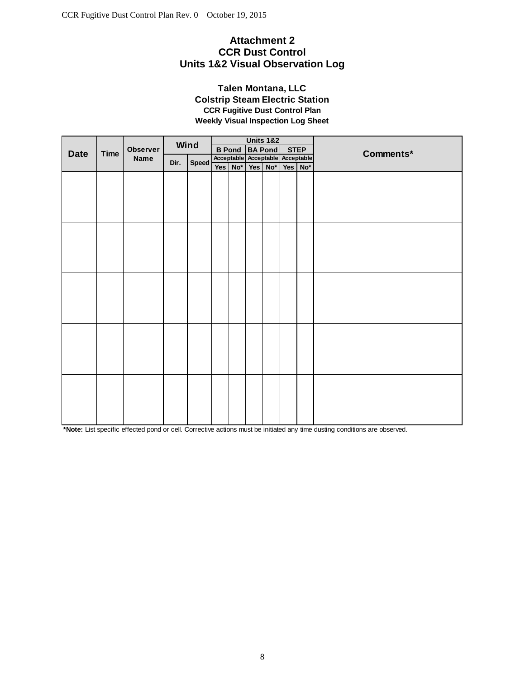#### **Attachment 2 CCR Dust Control Units 1&2 Visual Observation Log**

#### **Talen Montana, LLC Colstrip Steam Electric Station CCR Fugitive Dust Control Plan Weekly Visual Inspection Log Sheet**

|             | Time | Observer<br>Name | Wind |              |  |         |                                  | <b>Units 1&amp;2</b> |             |         |           |
|-------------|------|------------------|------|--------------|--|---------|----------------------------------|----------------------|-------------|---------|-----------|
| <b>Date</b> |      |                  |      |              |  |         | <b>B Pond BA Pond</b>            |                      | <b>STEP</b> |         | Comments* |
|             |      |                  | Dir. | <b>Speed</b> |  |         | Acceptable Acceptable Acceptable |                      |             |         |           |
|             |      |                  |      |              |  | Yes No* |                                  | Yes No*              |             | Yes No* |           |
|             |      |                  |      |              |  |         |                                  |                      |             |         |           |
|             |      |                  |      |              |  |         |                                  |                      |             |         |           |
|             |      |                  |      |              |  |         |                                  |                      |             |         |           |
|             |      |                  |      |              |  |         |                                  |                      |             |         |           |
|             |      |                  |      |              |  |         |                                  |                      |             |         |           |
|             |      |                  |      |              |  |         |                                  |                      |             |         |           |
|             |      |                  |      |              |  |         |                                  |                      |             |         |           |
|             |      |                  |      |              |  |         |                                  |                      |             |         |           |
|             |      |                  |      |              |  |         |                                  |                      |             |         |           |
|             |      |                  |      |              |  |         |                                  |                      |             |         |           |
|             |      |                  |      |              |  |         |                                  |                      |             |         |           |
|             |      |                  |      |              |  |         |                                  |                      |             |         |           |
|             |      |                  |      |              |  |         |                                  |                      |             |         |           |
|             |      |                  |      |              |  |         |                                  |                      |             |         |           |
|             |      |                  |      |              |  |         |                                  |                      |             |         |           |
|             |      |                  |      |              |  |         |                                  |                      |             |         |           |
|             |      |                  |      |              |  |         |                                  |                      |             |         |           |
|             |      |                  |      |              |  |         |                                  |                      |             |         |           |
|             |      |                  |      |              |  |         |                                  |                      |             |         |           |
|             |      |                  |      |              |  |         |                                  |                      |             |         |           |
|             |      |                  |      |              |  |         |                                  |                      |             |         |           |

**\*Note:** List specific effected pond or cell. Corrective actions must be initiated any time dusting conditions are observed.